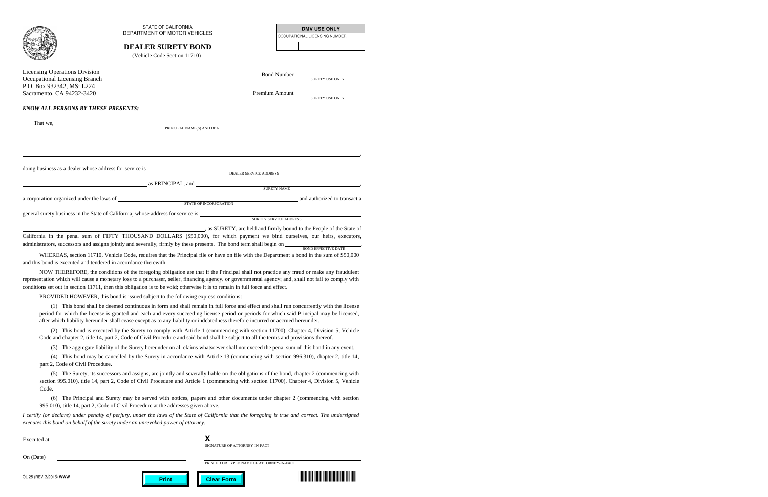|                                            | <b>STATE OF CALIFORNIA</b>                                                                                                               |                                       | <b>DMV USE ONLY</b>           |  |  |
|--------------------------------------------|------------------------------------------------------------------------------------------------------------------------------------------|---------------------------------------|-------------------------------|--|--|
|                                            | DEPARTMENT OF MOTOR VEHICLES                                                                                                             |                                       | OCCUPATIONAL LICENSING NUMBER |  |  |
|                                            | <b>DEALER SURETY BOND</b>                                                                                                                |                                       |                               |  |  |
|                                            | (Vehicle Code Section 11710)                                                                                                             |                                       |                               |  |  |
| <b>Licensing Operations Division</b>       |                                                                                                                                          |                                       |                               |  |  |
| <b>Occupational Licensing Branch</b>       |                                                                                                                                          | <b>Bond Number</b><br>SURETY USE ONLY |                               |  |  |
| P.O. Box 932342, MS: L224                  |                                                                                                                                          |                                       |                               |  |  |
| Sacramento, CA 94232-3420                  |                                                                                                                                          | Premium Amount                        | SURETY USE ONLY               |  |  |
| <b>KNOW ALL PERSONS BY THESE PRESENTS:</b> |                                                                                                                                          |                                       |                               |  |  |
|                                            |                                                                                                                                          |                                       |                               |  |  |
|                                            |                                                                                                                                          |                                       |                               |  |  |
|                                            |                                                                                                                                          |                                       |                               |  |  |
|                                            |                                                                                                                                          |                                       |                               |  |  |
|                                            |                                                                                                                                          |                                       |                               |  |  |
|                                            | ,我们也不会有什么?""我们的人,我们也不会有什么?""我们的人,我们也不会有什么?""我们的人,我们也不会有什么?""我们的人,我们也不会有什么?""我们的人                                                         |                                       |                               |  |  |
|                                            |                                                                                                                                          |                                       |                               |  |  |
|                                            |                                                                                                                                          |                                       |                               |  |  |
|                                            | as PRINCIPAL, and SURETY NAME                                                                                                            |                                       |                               |  |  |
|                                            |                                                                                                                                          |                                       |                               |  |  |
|                                            | a corporation organized under the laws of STATE OF INCORPORATION and authorized to transact a                                            |                                       |                               |  |  |
|                                            | general surety business in the State of California, whose address for service is __________________                                      |                                       |                               |  |  |
|                                            | <b>SURETY SERVICE ADDRESS</b>                                                                                                            |                                       |                               |  |  |
|                                            | as SURETY, are held and firmly bound to the People of the State of                                                                       |                                       |                               |  |  |
|                                            | California in the penal sum of FIFTY THOUSAND DOLLARS (\$50,000), for which payment we bind ourselves, our heirs, executors,             |                                       |                               |  |  |
|                                            | administrators, successors and assigns jointly and severally, firmly by these presents. The bond term shall begin on BOND EFFECTIVE DATE |                                       |                               |  |  |
|                                            | WHEREAS, section 11710, Vehicle Code, requires that the Principal file or have on file with the Department a bond in the sum of \$50,000 |                                       |                               |  |  |

 WHEREAS, section 11710, Vehicle Code, requires that the Principal file or have on file with the Department a bond in the sum of \$50,000 and this bond is executed and tendered in accordance therewith.

 NOW THEREFORE, the conditions of the foregoing obligation are that if the Principal shall not practice any fraud or make any fraudulent representation which will cause a monetary loss to a purchaser, seller, financing agency, or governmental agency; and, shall not fail to comply with conditions set out in section 11711, then this obligation is to be void; otherwise it is to remain in full force and effect.

PROVIDED HOWEVER, this bond is issued subject to the following express conditions:

(1) This bond shall be deemed continuous in form and shall remain in full force and effect and shall run concurrently with the license period for which the license is granted and each and every succeeding license period or periods for which said Principal may be licensed, after which liability hereunder shall cease except as to any liability or indebtedness therefore incurred or accrued hereunder.

(2) This bond is executed by the Surety to comply with Article 1 (commencing with section 11700), Chapter 4, Division 5, Vehicle Code and chapter 2, title 14, part 2, Code of Civil Procedure and said bond shall be subject to all the terms and provisions thereof.

(3) The aggregate liability of the Surety hereunder on all claims whatsoever shall not exceed the penal sum of this bond in any event.

(4) This bond may be cancelled by the Surety in accordance with Article 13 (commencing with section 996.310), chapter 2, title 14, part 2, Code of Civil Procedure.

(5) The Surety, its successors and assigns, are jointly and severally liable on the obligations of the bond, chapter 2 (commencing with section 995.010), title 14, part 2, Code of Civil Procedure and Article 1 (commencing with section 11700), Chapter 4, Division 5, Vehicle Code.

(6) The Principal and Surety may be served with notices, papers and other documents under chapter 2 (commencing with section 995.010), title 14, part 2, Code of Civil Procedure at the addresses given above.

*I certify (or declare) under penalty of perjury, under the laws of the State of California that the foregoing is true and correct. The undersigned executes this bond on behalf of the surety under an unrevoked power of attorney.* 

| Executed at             |  |                               |                   |                                           |  |
|-------------------------|--|-------------------------------|-------------------|-------------------------------------------|--|
|                         |  | SIGNATURE OF ATTORNEY-IN-FACT |                   |                                           |  |
| On (Date)               |  |                               |                   |                                           |  |
|                         |  |                               |                   | PRINTED OR TYPED NAME OF ATTORNEY-IN-FACT |  |
| OL 25 (REV. 3/2016) WWW |  | <b>Print</b>                  | <b>Clear Form</b> |                                           |  |